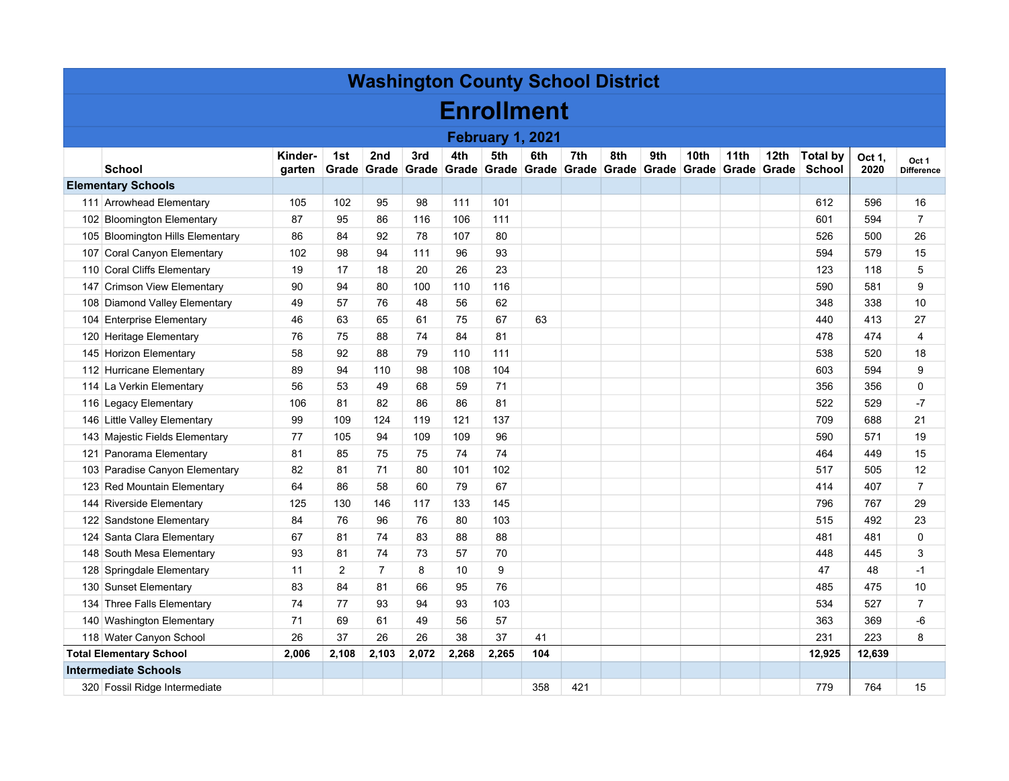| <b>Washington County School District</b> |                                  |         |       |                   |       |       |       |                   |       |     |     |                  |                               |                  |                 |        |                   |
|------------------------------------------|----------------------------------|---------|-------|-------------------|-------|-------|-------|-------------------|-------|-----|-----|------------------|-------------------------------|------------------|-----------------|--------|-------------------|
|                                          | <b>Enrollment</b>                |         |       |                   |       |       |       |                   |       |     |     |                  |                               |                  |                 |        |                   |
| <b>February 1, 2021</b>                  |                                  |         |       |                   |       |       |       |                   |       |     |     |                  |                               |                  |                 |        |                   |
|                                          |                                  | Kinder- | 1st   | 2nd               | 3rd   | 4th   | 5th   | 6th               | 7th   | 8th | 9th | 10 <sub>th</sub> | 11 <sub>th</sub>              | 12 <sub>th</sub> | <b>Total by</b> | Oct 1, | Oct 1             |
|                                          | School                           | garten  |       | Grade Grade Grade |       |       |       | Grade Grade Grade | Grade |     |     |                  | Grade Grade Grade Grade Grade |                  | <b>School</b>   | 2020   | <b>Difference</b> |
| <b>Elementary Schools</b>                |                                  |         |       |                   |       |       |       |                   |       |     |     |                  |                               |                  |                 |        |                   |
|                                          | 111 Arrowhead Elementary         | 105     | 102   | 95                | 98    | 111   | 101   |                   |       |     |     |                  |                               |                  | 612             | 596    | 16                |
|                                          | 102 Bloomington Elementary       | 87      | 95    | 86                | 116   | 106   | 111   |                   |       |     |     |                  |                               |                  | 601             | 594    | $\overline{7}$    |
|                                          | 105 Bloomington Hills Elementary | 86      | 84    | 92                | 78    | 107   | 80    |                   |       |     |     |                  |                               |                  | 526             | 500    | 26                |
|                                          | 107 Coral Canyon Elementary      | 102     | 98    | 94                | 111   | 96    | 93    |                   |       |     |     |                  |                               |                  | 594             | 579    | 15                |
|                                          | 110 Coral Cliffs Elementary      | 19      | 17    | 18                | 20    | 26    | 23    |                   |       |     |     |                  |                               |                  | 123             | 118    | 5                 |
|                                          | 147 Crimson View Elementary      | 90      | 94    | 80                | 100   | 110   | 116   |                   |       |     |     |                  |                               |                  | 590             | 581    | 9                 |
|                                          | 108 Diamond Valley Elementary    | 49      | 57    | 76                | 48    | 56    | 62    |                   |       |     |     |                  |                               |                  | 348             | 338    | 10                |
|                                          | 104 Enterprise Elementary        | 46      | 63    | 65                | 61    | 75    | 67    | 63                |       |     |     |                  |                               |                  | 440             | 413    | 27                |
|                                          | 120 Heritage Elementary          | 76      | 75    | 88                | 74    | 84    | 81    |                   |       |     |     |                  |                               |                  | 478             | 474    | $\overline{4}$    |
|                                          | 145 Horizon Elementary           | 58      | 92    | 88                | 79    | 110   | 111   |                   |       |     |     |                  |                               |                  | 538             | 520    | 18                |
|                                          | 112 Hurricane Elementary         | 89      | 94    | 110               | 98    | 108   | 104   |                   |       |     |     |                  |                               |                  | 603             | 594    | 9                 |
|                                          | 114 La Verkin Elementary         | 56      | 53    | 49                | 68    | 59    | 71    |                   |       |     |     |                  |                               |                  | 356             | 356    | $\mathbf 0$       |
|                                          | 116 Legacy Elementary            | 106     | 81    | 82                | 86    | 86    | 81    |                   |       |     |     |                  |                               |                  | 522             | 529    | -7                |
|                                          | 146 Little Valley Elementary     | 99      | 109   | 124               | 119   | 121   | 137   |                   |       |     |     |                  |                               |                  | 709             | 688    | 21                |
|                                          | 143 Majestic Fields Elementary   | 77      | 105   | 94                | 109   | 109   | 96    |                   |       |     |     |                  |                               |                  | 590             | 571    | 19                |
|                                          | 121 Panorama Elementary          | 81      | 85    | 75                | 75    | 74    | 74    |                   |       |     |     |                  |                               |                  | 464             | 449    | 15                |
|                                          | 103 Paradise Canyon Elementary   | 82      | 81    | 71                | 80    | 101   | 102   |                   |       |     |     |                  |                               |                  | 517             | 505    | 12                |
|                                          | 123 Red Mountain Elementary      | 64      | 86    | 58                | 60    | 79    | 67    |                   |       |     |     |                  |                               |                  | 414             | 407    | $\overline{7}$    |
|                                          | 144 Riverside Elementary         | 125     | 130   | 146               | 117   | 133   | 145   |                   |       |     |     |                  |                               |                  | 796             | 767    | 29                |
|                                          | 122 Sandstone Elementary         | 84      | 76    | 96                | 76    | 80    | 103   |                   |       |     |     |                  |                               |                  | 515             | 492    | 23                |
|                                          | 124 Santa Clara Elementary       | 67      | 81    | 74                | 83    | 88    | 88    |                   |       |     |     |                  |                               |                  | 481             | 481    | $\mathbf 0$       |
|                                          | 148 South Mesa Elementary        | 93      | 81    | 74                | 73    | 57    | 70    |                   |       |     |     |                  |                               |                  | 448             | 445    | 3                 |
|                                          | 128 Springdale Elementary        | 11      | 2     | $\overline{7}$    | 8     | 10    | 9     |                   |       |     |     |                  |                               |                  | 47              | 48     | -1                |
|                                          | 130 Sunset Elementary            | 83      | 84    | 81                | 66    | 95    | 76    |                   |       |     |     |                  |                               |                  | 485             | 475    | 10                |
|                                          | 134 Three Falls Elementary       | 74      | 77    | 93                | 94    | 93    | 103   |                   |       |     |     |                  |                               |                  | 534             | 527    | $\overline{7}$    |
|                                          | 140 Washington Elementary        | 71      | 69    | 61                | 49    | 56    | 57    |                   |       |     |     |                  |                               |                  | 363             | 369    | -6                |
|                                          | 118 Water Canyon School          | 26      | 37    | 26                | 26    | 38    | 37    | 41                |       |     |     |                  |                               |                  | 231             | 223    | 8                 |
|                                          | <b>Total Elementary School</b>   | 2,006   | 2,108 | 2,103             | 2,072 | 2,268 | 2,265 | 104               |       |     |     |                  |                               |                  | 12,925          | 12,639 |                   |
|                                          | <b>Intermediate Schools</b>      |         |       |                   |       |       |       |                   |       |     |     |                  |                               |                  |                 |        |                   |
|                                          | 320 Fossil Ridge Intermediate    |         |       |                   |       |       |       | 358               | 421   |     |     |                  |                               |                  | 779             | 764    | 15                |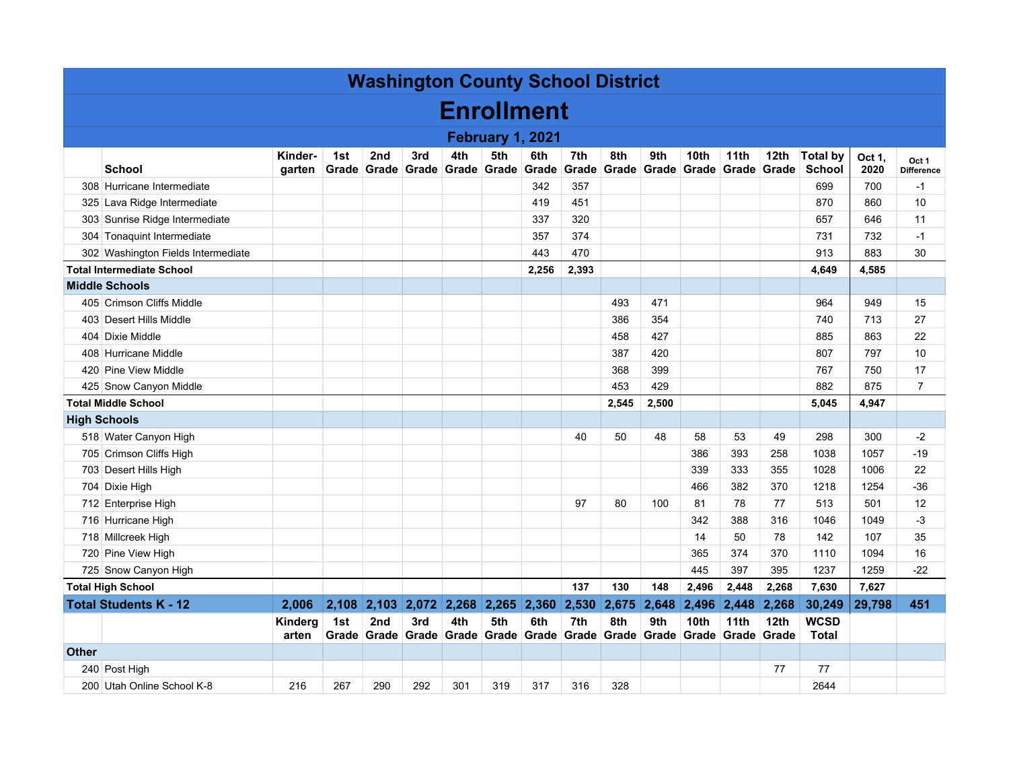| <b>Washington County School District</b> |                                    |                   |              |                                |       |                                                                    |     |                          |              |              |       |                                   |               |                           |                                  |                |                            |
|------------------------------------------|------------------------------------|-------------------|--------------|--------------------------------|-------|--------------------------------------------------------------------|-----|--------------------------|--------------|--------------|-------|-----------------------------------|---------------|---------------------------|----------------------------------|----------------|----------------------------|
| <b>Enrollment</b>                        |                                    |                   |              |                                |       |                                                                    |     |                          |              |              |       |                                   |               |                           |                                  |                |                            |
|                                          | February 1, 2021                   |                   |              |                                |       |                                                                    |     |                          |              |              |       |                                   |               |                           |                                  |                |                            |
|                                          | <b>School</b>                      | Kinder-<br>garten | 1st<br>Grade | 2 <sub>nd</sub><br>Grade Grade | 3rd   | 4th                                                                | 5th | 6th<br>Grade Grade Grade | 7th<br>Grade | 8th<br>Grade | 9th   | 10th<br>∣ Grade ∣ Grade ∣ Grade ∣ | 11th          | 12th<br>Grade             | <b>Total by</b><br><b>School</b> | Oct 1.<br>2020 | Oct 1<br><b>Difference</b> |
|                                          | 308 Hurricane Intermediate         |                   |              |                                |       |                                                                    |     | 342                      | 357          |              |       |                                   |               |                           | 699                              | 700            | $-1$                       |
|                                          | 325 Lava Ridge Intermediate        |                   |              |                                |       |                                                                    |     | 419                      | 451          |              |       |                                   |               |                           | 870                              | 860            | 10                         |
|                                          | 303 Sunrise Ridge Intermediate     |                   |              |                                |       |                                                                    |     | 337                      | 320          |              |       |                                   |               |                           | 657                              | 646            | 11                         |
|                                          | 304 Tonaquint Intermediate         |                   |              |                                |       |                                                                    |     | 357                      | 374          |              |       |                                   |               |                           | 731                              | 732            | $-1$                       |
|                                          | 302 Washington Fields Intermediate |                   |              |                                |       |                                                                    |     | 443                      | 470          |              |       |                                   |               |                           | 913                              | 883            | 30                         |
|                                          | <b>Total Intermediate School</b>   |                   |              |                                |       |                                                                    |     | 2,256                    | 2,393        |              |       |                                   |               |                           | 4,649                            | 4,585          |                            |
|                                          | <b>Middle Schools</b>              |                   |              |                                |       |                                                                    |     |                          |              |              |       |                                   |               |                           |                                  |                |                            |
|                                          | 405 Crimson Cliffs Middle          |                   |              |                                |       |                                                                    |     |                          |              | 493          | 471   |                                   |               |                           | 964                              | 949            | 15                         |
|                                          | 403 Desert Hills Middle            |                   |              |                                |       |                                                                    |     |                          |              | 386          | 354   |                                   |               |                           | 740                              | 713            | 27                         |
|                                          | 404 Dixie Middle                   |                   |              |                                |       |                                                                    |     |                          |              | 458          | 427   |                                   |               |                           | 885                              | 863            | 22                         |
|                                          | 408 Hurricane Middle               |                   |              |                                |       |                                                                    |     |                          |              | 387          | 420   |                                   |               |                           | 807                              | 797            | 10                         |
|                                          | 420 Pine View Middle               |                   |              |                                |       |                                                                    |     |                          |              | 368          | 399   |                                   |               |                           | 767                              | 750            | 17                         |
|                                          | 425 Snow Canyon Middle             |                   |              |                                |       |                                                                    |     |                          |              | 453          | 429   |                                   |               |                           | 882                              | 875            | $\overline{7}$             |
| <b>Total Middle School</b>               |                                    |                   |              |                                |       |                                                                    |     |                          |              | 2,545        | 2,500 |                                   |               |                           | 5,045                            | 4,947          |                            |
|                                          | <b>High Schools</b>                |                   |              |                                |       |                                                                    |     |                          |              |              |       |                                   |               |                           |                                  |                |                            |
|                                          | 518 Water Canyon High              |                   |              |                                |       |                                                                    |     |                          | 40           | 50           | 48    | 58                                | 53            | 49                        | 298                              | 300            | -2                         |
|                                          | 705 Crimson Cliffs High            |                   |              |                                |       |                                                                    |     |                          |              |              |       | 386                               | 393           | 258                       | 1038                             | 1057           | -19                        |
|                                          | 703 Desert Hills High              |                   |              |                                |       |                                                                    |     |                          |              |              |       | 339                               | 333           | 355                       | 1028                             | 1006           | 22                         |
|                                          | 704 Dixie High                     |                   |              |                                |       |                                                                    |     |                          |              |              |       | 466                               | 382           | 370                       | 1218                             | 1254           | $-36$                      |
|                                          | 712 Enterprise High                |                   |              |                                |       |                                                                    |     |                          | 97           | 80           | 100   | 81                                | 78            | 77                        | 513                              | 501            | 12                         |
|                                          | 716 Hurricane High                 |                   |              |                                |       |                                                                    |     |                          |              |              |       | 342                               | 388           | 316                       | 1046                             | 1049           | -3                         |
|                                          | 718 Millcreek High                 |                   |              |                                |       |                                                                    |     |                          |              |              |       | 14                                | 50            | 78                        | 142                              | 107            | 35                         |
|                                          | 720 Pine View High                 |                   |              |                                |       |                                                                    |     |                          |              |              |       | 365                               | 374           | 370                       | 1110                             | 1094           | 16                         |
|                                          | 725 Snow Canyon High               |                   |              |                                |       |                                                                    |     |                          |              |              |       | 445                               | 397           | 395                       | 1237                             | 1259           | $-22$                      |
|                                          | <b>Total High School</b>           |                   |              |                                |       |                                                                    |     |                          | 137          | 130          | 148   | 2,496                             | 2,448         | 2,268                     | 7,630                            | 7,627          |                            |
|                                          | <b>Total Students K - 12</b>       | 2,006             | 2,108        | 2,103                          | 2,072 | 2,268 2,265 2,360 2,530                                            |     |                          |              | 2,675        | 2,648 |                                   | 2,496 2,448   | 2,268                     | 30,249                           | 29,798         | 451                        |
|                                          |                                    | Kinderg<br>arten  | 1st          | 2nd                            | 3rd   | 4th<br>Grade Grade Grade Grade Grade Grade Grade Grade Grade Grade | 5th | 6th                      | 7th          | 8th          | 9th   | 10th<br>Grade                     | 11th<br>Grade | 12 <sub>th</sub><br>Grade | <b>WCSD</b><br><b>Total</b>      |                |                            |
| <b>Other</b>                             |                                    |                   |              |                                |       |                                                                    |     |                          |              |              |       |                                   |               |                           |                                  |                |                            |
|                                          | 240 Post High                      |                   |              |                                |       |                                                                    |     |                          |              |              |       |                                   |               | 77                        | 77                               |                |                            |
|                                          | 200 Utah Online School K-8         | 216               | 267          | 290                            | 292   | 301                                                                | 319 | 317                      | 316          | 328          |       |                                   |               |                           | 2644                             |                |                            |